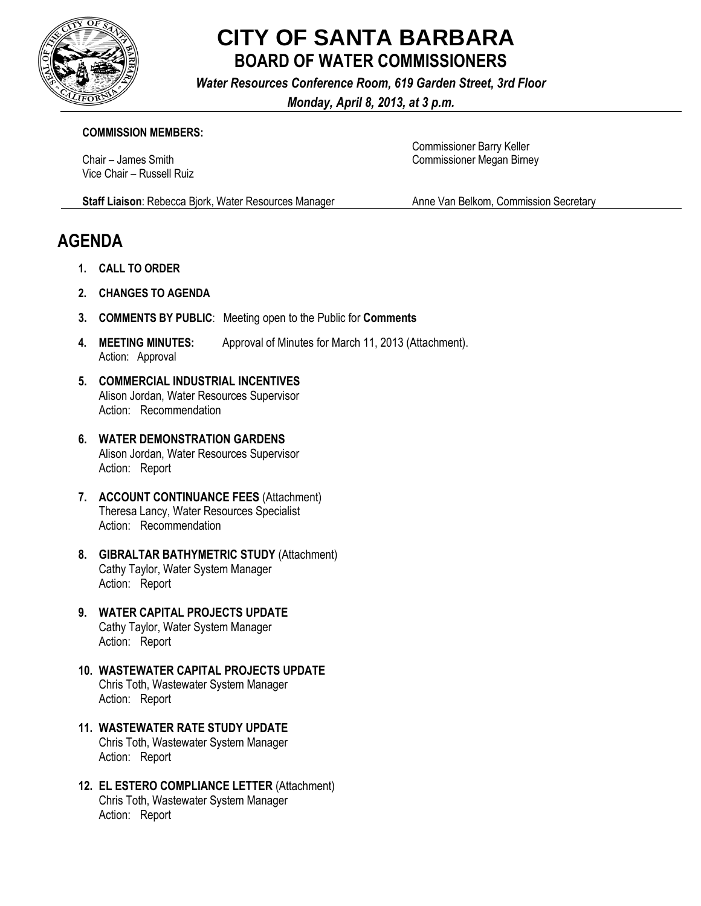

## **CITY OF SANTA BARBARA BOARD OF WATER COMMISSIONERS**

*Water Resources Conference Room, 619 Garden Street, 3rd Floor*

*Monday, April 8, 2013, at 3 p.m.*

## **COMMISSION MEMBERS:**

Chair – James Smith Vice Chair – Russell Ruiz Commissioner Barry Keller Commissioner Megan Birney

**Staff Liaison**: Rebecca Bjork, Water Resources Manager

**AGENDA**

- **1. CALL TO ORDER**
- **2. CHANGES TO AGENDA**
- **3. COMMENTS BY PUBLIC**: Meeting open to the Public for **Comments**
- **4. MEETING MINUTES:** Approval of Minutes for March 11, 2013 (Attachment). Action: Approval
- **5. COMMERCIAL INDUSTRIAL INCENTIVES** Alison Jordan, Water Resources Supervisor Action: Recommendation
- **6. WATER DEMONSTRATION GARDENS** Alison Jordan, Water Resources Supervisor Action: Report
- **7. ACCOUNT CONTINUANCE FEES** (Attachment) Theresa Lancy, Water Resources Specialist Action: Recommendation
- **8. GIBRALTAR BATHYMETRIC STUDY** (Attachment) Cathy Taylor, Water System Manager Action: Report
- **9. WATER CAPITAL PROJECTS UPDATE** Cathy Taylor, Water System Manager Action: Report
- **10. WASTEWATER CAPITAL PROJECTS UPDATE** Chris Toth, Wastewater System Manager Action: Report
- **11. WASTEWATER RATE STUDY UPDATE** Chris Toth, Wastewater System Manager Action: Report
- **12. EL ESTERO COMPLIANCE LETTER** (Attachment) Chris Toth, Wastewater System Manager Action: Report

Anne Van Belkom, Commission Secretary